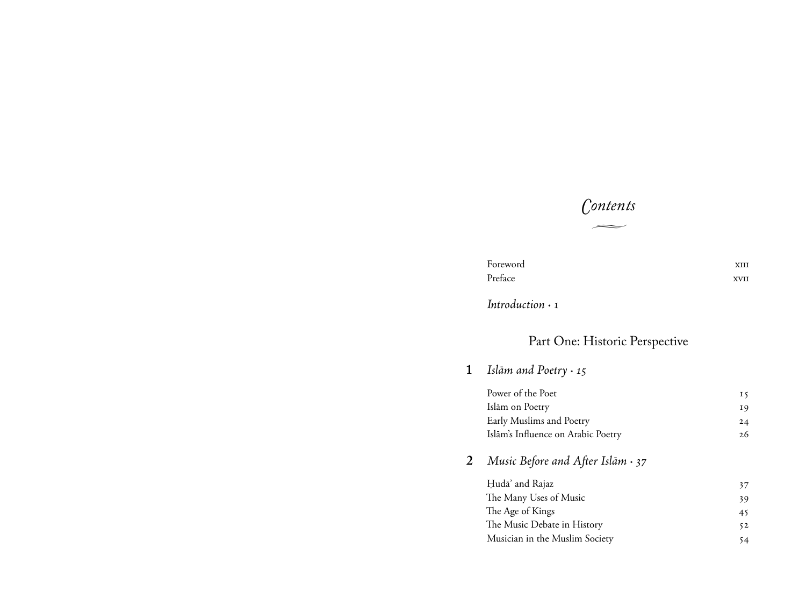## *Contents*  $\overline{\phantom{a}}$

| Foreword | XHI  |
|----------|------|
| Preface  | XVII |

*Introduction ·* 

## Part One: Historic Perspective

**1** *Islām and Poetry ·* 

| Power of the Poet                  | 15  |
|------------------------------------|-----|
| Islām on Poetry                    | 19  |
| Early Muslims and Poetry           | 24  |
| Islām's Influence on Arabic Poetry | 2.6 |
|                                    |     |

**2** *Music Before and After Islām ·* 

| Hudā' and Rajaz                | 37 |
|--------------------------------|----|
| The Many Uses of Music         | 39 |
| The Age of Kings               | 45 |
| The Music Debate in History    | 52 |
| Musician in the Muslim Society | 54 |